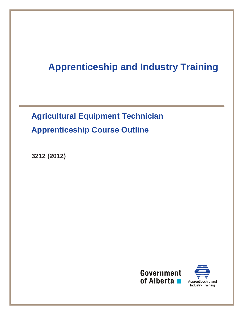# **Apprenticeship and Industry Training**

**Agricultural Equipment Technician Apprenticeship Course Outline** 

**3212 (2012)** 



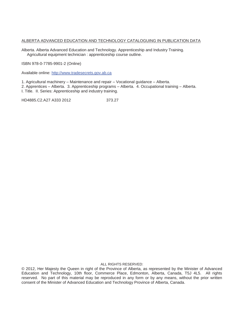#### ALBERTA ADVANCED EDUCATION AND TECHNOLOGY CATALOGUING IN PUBLICATION DATA

Alberta. Alberta Advanced Education and Technology. Apprenticeship and Industry Training. Agricultural equipment technician : apprenticeship course outline.

ISBN 978-0-7785-9901-2 (Online)

Available online: http://www.tradesecrets.gov.ab.ca

1. Agricultural machinery – Maintenance and repair – Vocational guidance – Alberta.

2. Apprentices – Alberta. 3. Apprenticeship programs – Alberta. 4. Occupational training – Alberta.

I. Title. II. Series: Apprenticeship and industry training.

HD4885.C2.A27 A333 2012 373.27

#### ALL RIGHTS RESERVED:

© 2012, Her Majesty the Queen in right of the Province of Alberta, as represented by the Minister of Advanced Education and Technology, 10th floor, Commerce Place, Edmonton, Alberta, Canada, T5J 4L5. All rights reserved. No part of this material may be reproduced in any form or by any means, without the prior written consent of the Minister of Advanced Education and Technology Province of Alberta, Canada.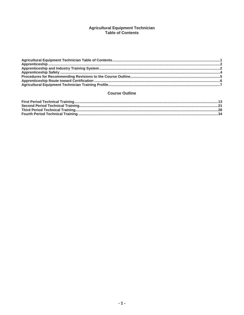## **Agricultural Equipment Technician<br>Table of Contents**

## **Course Outline**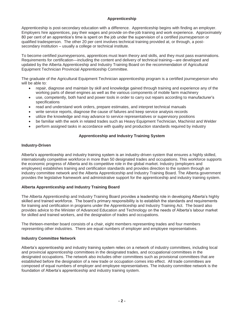## **Apprenticeship**

Apprenticeship is post-secondary education with a difference. Apprenticeship begins with finding an employer. Employers hire apprentices, pay their wages and provide on-the-job training and work experience. Approximately 80 per cent of an apprentice's time is spent on the job under the supervision of a certified journeyperson or qualified tradesperson. The other 20 per cent involves technical training provided at, or through, a postsecondary institution – usually a college or technical institute.

To become certified journeypersons, apprentices must learn theory and skills, and they must pass examinations. Requirements for certification—including the content and delivery of technical training—are developed and updated by the Alberta Apprenticeship and Industry Training Board on the recommendation of Agricultural Equipment Technician Provincial Apprenticeship Committee.

The graduate of the Agricultural Equipment Technician apprenticeship program is a certified journeyperson who will be able to:

- repair, diagnose and maintain by skill and knowledge gained through training and experience any of the working parts of diesel engines as well as the various components of mobile farm machinery
- x use, competently, both hand and power tools in order to carry out repairs according to manufacturer's specifications
- read and understand work orders, prepare estimates, and interpret technical manuals
- x write service reports, diagnose the cause of failures and keep service analysis records
- utilize the knowledge and may advance to service representatives or supervisory positions
- be familiar with the work in related trades such as Heavy Equipment Technician, Machinist and Welder
- perform assigned tasks in accordance with quality and production standards required by industry

## **Apprenticeship and Industry Training System**

#### **Industry-Driven**

Alberta's apprenticeship and industry training system is an industry-driven system that ensures a highly skilled, internationally competitive workforce in more than 50 designated trades and occupations. This workforce supports the economic progress of Alberta and its competitive role in the global market. Industry (employers and employees) establishes training and certification standards and provides direction to the system through an industry committee network and the Alberta Apprenticeship and Industry Training Board. The Alberta government provides the legislative framework and administrative support for the apprenticeship and industry training system.

## **Alberta Apprenticeship and Industry Training Board**

The Alberta Apprenticeship and Industry Training Board provides a leadership role in developing Alberta's highly skilled and trained workforce. The board's primary responsibility is to establish the standards and requirements for training and certification in programs under the Apprenticeship and Industry Training Act. The board also provides advice to the Minister of Advanced Education and Technology on the needs of Alberta's labour market for skilled and trained workers, and the designation of trades and occupations.

The thirteen-member board consists of a chair, eight members representing trades and four members representing other industries. There are equal numbers of employer and employee representatives.

## **Industry Committee Network**

Alberta's apprenticeship and industry training system relies on a network of industry committees, including local and provincial apprenticeship committees in the designated trades, and occupational committees in the designated occupations. The network also includes other committees such as provisional committees that are established before the designation of a new trade or occupation comes into effect. All trade committees are composed of equal numbers of employer and employee representatives. The industry committee network is the foundation of Alberta's apprenticeship and industry training system.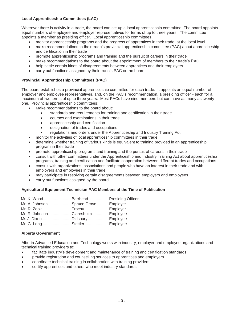## **Local Apprenticeship Committees (LAC)**

Wherever there is activity in a trade, the board can set up a local apprenticeship committee. The board appoints equal numbers of employee and employer representatives for terms of up to three years. The committee appoints a member as presiding officer. Local apprenticeship committees:

- monitor apprenticeship programs and the progress of apprentices in their trade, at the local level
- make recommendations to their trade's provincial apprenticeship committee (PAC) about apprenticeship and certification in their trade
- promote apprenticeship programs and training and the pursuit of careers in their trade
- make recommendations to the board about the appointment of members to their trade's PAC
- help settle certain kinds of disagreements between apprentices and their employers
- carry out functions assigned by their trade's PAC or the board

#### **Provincial Apprenticeship Committees (PAC)**

The board establishes a provincial apprenticeship committee for each trade. It appoints an equal number of employer and employee representatives, and, on the PAC's recommendation, a presiding officer - each for a maximum of two terms of up to three years. Most PACs have nine members but can have as many as twentyone. Provincial apprenticeship committees:

- Make recommendations to the board about:
	- standards and requirements for training and certification in their trade
	- courses and examinations in their trade
	- apprenticeship and certification
	- designation of trades and occupations
	- regulations and orders under the Apprenticeship and Industry Training Act
- monitor the activities of local apprenticeship committees in their trade
- determine whether training of various kinds is equivalent to training provided in an apprenticeship program in their trade
- promote apprenticeship programs and training and the pursuit of careers in their trade
- x consult with other committees under the Apprenticeship and Industry Training Act about apprenticeship programs, training and certification and facilitate cooperation between different trades and occupations
- x consult with organizations, associations and people who have an interest in their trade and with employers and employees in their trade
- may participate in resolving certain disagreements between employers and employees
- carry out functions assigned by the board

## **Agricultural Equipment Technician PAC Members at the Time of Publication**

| Mr. K. Wood Barrhead Presiding Officer |  |
|----------------------------------------|--|
| Mr. A. Johnson Spruce Grove Employer   |  |
| Mr. R. ZookTrochuEmployer              |  |
| Mr. R. Johnson Claresholm  Employee    |  |
| Ms.J. DixonDidsburyEmployee            |  |
| Mr. G. Long StettlerEmployee           |  |

## **Alberta Government**

Alberta Advanced Education and Technology works with industry, employer and employee organizations and technical training providers to:

- facilitate industry's development and maintenance of training and certification standards
- provide registration and counselling services to apprentices and employers
- coordinate technical training in collaboration with training providers
- certify apprentices and others who meet industry standards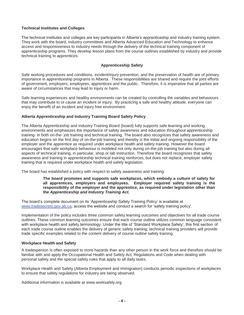## **Technical Institutes and Colleges**

The technical institutes and colleges are key participants in Alberta's apprenticeship and industry training system. They work with the board, industry committees and Alberta Advanced Education and Technology to enhance access and responsiveness to industry needs through the delivery of the technical training component of apprenticeship programs. They develop lesson plans from the course outlines established by industry and provide technical training to apprentices.

## **Apprenticeship Safety**

Safe working procedures and conditions, incident/injury prevention, and the preservation of health are of primary importance in apprenticeship programs in Alberta. These responsibilities are shared and require the joint efforts of government, employers, employees, apprentices and the public. Therefore, it is imperative that all parties are aware of circumstances that may lead to injury or harm.

Safe learning experiences and healthy environments can be created by controlling the variables and behaviours that may contribute to or cause an incident or injury. By practicing a safe and healthy attitude, everyone can enjoy the benefit of an incident and injury free environment.

## **Alberta Apprenticeship and Industry Training Board Safety Policy**

The Alberta Apprenticeship and Industry Training Board (board) fully supports safe learning and working environments and emphasizes the importance of safety awareness and education throughout apprenticeship training- in both on-the- job training and technical training. The board also recognizes that safety awareness and education begins on the first day of on-the-job training and thereby is the initial and ongoing responsibility of the employer and the apprentice as required under workplace health and safety training. However the board encourages that safe workplace behaviour is modeled not only during on-the-job training but also during all aspects of technical training, in particular, shop or lab instruction. Therefore the board recognizes that safety awareness and training in apprenticeship technical training reinforces, but does not replace, employer safety training that is required under workplace health and safety legislation.

The board has established a policy with respect to safety awareness and training:

#### **The board promotes and supports safe workplaces, which embody a culture of safety for all apprentices, employers and employees. Employer required safety training is the responsibility of the employer and the apprentice, as required under legislation other than the** *Apprenticeship and Industry Training Act.*

The board's complete document on its 'Apprenticeship Safety Training Policy' is available at www.tradesecrets.gov.ab.ca; access the website and conduct a search for 'safety training policy'.

Implementation of the policy includes three common safety learning outcomes and objectives for all trade course outlines. These common learning outcomes ensure that each course outline utilizes common language consistent with workplace health and safety terminology. Under the title of 'Standard Workplace Safety', this first section of each trade course outline enables the delivery of generic safety training; technical training providers will provide trade specific examples related to the content delivery of course outline safety training.

#### **Workplace Health and Safety**

A tradesperson is often exposed to more hazards than any other person in the work force and therefore should be familiar with and apply the Occupational Health and Safety Act, Regulations and Code when dealing with personal safety and the special safety rules that apply to all daily tasks.

Workplace Health and Safety (Alberta Employment and Immigration) conducts periodic inspections of workplaces to ensure that safety regulations for industry are being observed.

Additional information is available at www.worksafely.org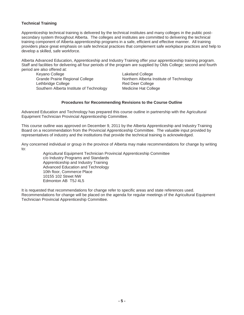## **Technical Training**

Apprenticeship technical training is delivered by the technical institutes and many colleges in the public postsecondary system throughout Alberta. The colleges and institutes are committed to delivering the technical training component of Alberta apprenticeship programs in a safe, efficient and effective manner. All training providers place great emphasis on safe technical practices that complement safe workplace practices and help to develop a skilled, safe workforce.

Alberta Advanced Education, Apprenticeship and Industry Training offer your apprenticeship training program. Staff and facilities for delivering all four periods of the program are supplied by Olds College; second and fourth period are also offered at:

Keyano College **Lakeland College** Grande Prairie Regional College Northern Alberta Institute of Technology Lethbridge College **Red Deer College** Red Deer College Southern Alberta Institute of Technology Medicine Hat College

#### **Procedures for Recommending Revisions to the Course Outline**

Advanced Education and Technology has prepared this course outline in partnership with the Agricultural Equipment Technician Provincial Apprenticeship Committee.

This course outline was approved on December 9, 2011 by the Alberta Apprenticeship and Industry Training Board on a recommendation from the Provincial Apprenticeship Committee. The valuable input provided by representatives of industry and the institutions that provide the technical training is acknowledged.

Any concerned individual or group in the province of Alberta may make recommendations for change by writing to:

Agricultural Equipment Technician Provincial Apprenticeship Committee c/o Industry Programs and Standards Apprenticeship and Industry Training Advanced Education and Technology 10th floor, Commerce Place 10155 102 Street NW Edmonton AB T5J 4L5

It is requested that recommendations for change refer to specific areas and state references used. Recommendations for change will be placed on the agenda for regular meetings of the Agricultural Equipment Technician Provincial Apprenticeship Committee.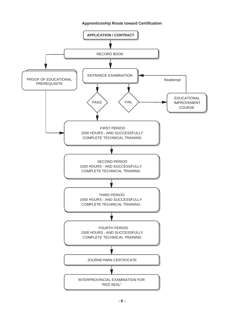## **Apprenticeship Route toward Certification**

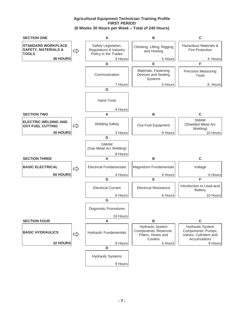## **Agricultural Equipment Technician Training Profile FIRST PERIOD (8 Weeks 30 Hours per Week – Total of 240 Hours)**

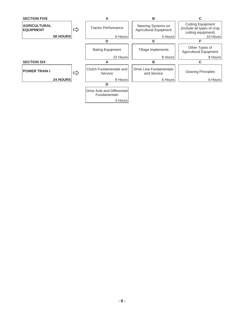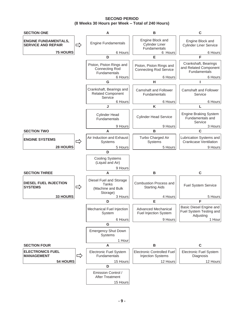**SECOND PERIOD (8 Weeks 30 Hours per Week – Total of 240 Hours)** 

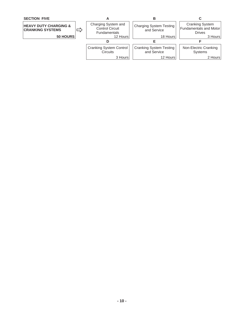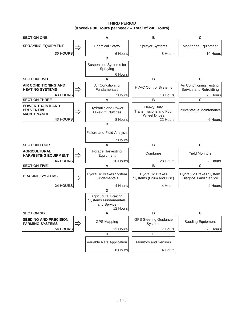**THIRD PERIOD (8 Weeks 30 Hours per Week – Total of 240 Hours)** 

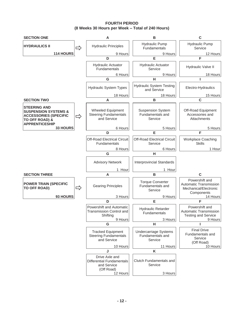**FOURTH PERIOD (8 Weeks 30 Hours per Week – Total of 240 Hours)**

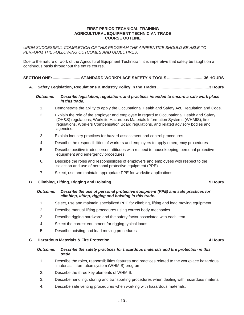#### **FIRST PERIOD TECHNICAL TRAINING AGRICULTURAL EQUIPMENT TECHNICIAN TRADE COURSE OUTLINE**

*UPON SUCCESSFUL COMPLETION OF THIS PROGRAM THE APPRENTICE SHOULD BE ABLE TO PERFORM THE FOLLOWING OUTCOMES AND OBJECTIVES*.

Due to the nature of work of the Agricultural Equipment Technician, it is imperative that safety be taught on a continuous basis throughout the entire course.

**SECTION ONE: ......................... STANDARD WORKPLACE SAFETY & TOOLS ................................ 36 HOURS** 

**A. Safety Legislation, Regulations & Industry Policy in the Trades ............................................... 3 Hours** 

#### *Outcome: Describe legislation, regulations and practices intended to ensure a safe work place in this trade.*

- 1. Demonstrate the ability to apply the Occupational Health and Safety Act, Regulation and Code.
- 2. Explain the role of the employer and employee in regard to Occupational Health and Safety (OH&S) regulations, Worksite Hazardous Materials Information Systems (WHMIS), fire regulations, Workers Compensation Board regulations, and related advisory bodies and agencies.
- 3. Explain industry practices for hazard assessment and control procedures.
- 4. Describe the responsibilities of workers and employers to apply emergency procedures.
- 5. Describe positive tradesperson attitudes with respect to housekeeping, personal protective equipment and emergency procedures.
- 6. Describe the roles and responsibilities of employers and employees with respect to the selection and use of personal protective equipment (PPE).
- 7. Select, use and maintain appropriate PPE for worksite applications.
- **B. Climbing, Lifting, Rigging and Hoisting .......................................................................................5 Hours**

#### *Outcome: Describe the use of personal protective equipment (PPE) and safe practices for climbing, lifting, rigging and hoisting in this trade.*

- 1. Select, use and maintain specialized PPE for climbing, lifting and load moving equipment.
- 2. Describe manual lifting procedures using correct body mechanics.
- 3. Describe rigging hardware and the safety factor associated with each item.
- 4. Select the correct equipment for rigging typical loads.
- 5. Describe hoisting and load moving procedures.
- **C. Hazardous Materials & Fire Protection .........................................................................................4 Hours**

#### *Outcome: Describe the safety practices for hazardous materials and fire protection in this trade.*

- 1. Describe the roles, responsibilities features and practices related to the workplace hazardous materials information system (WHMIS) program.
- 2. Describe the three key elements of WHMIS.
- 3. Describe handling, storing and transporting procedures when dealing with hazardous material.
- 4. Describe safe venting procedures when working with hazardous materials.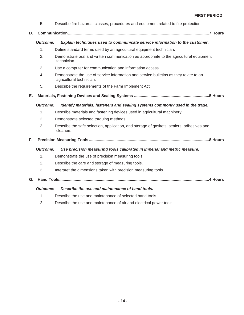- 5. Describe fire hazards, classes, procedures and equipment related to fire protection.
- **D. Communication ................................................................................................................................ 7 Hours**

#### *Outcome: Explain techniques used to communicate service information to the customer.*

- 1. Define standard terms used by an agricultural equipment technician.
- 2. Demonstrate oral and written communication as appropriate to the agricultural equipment technician.
- 3. Use a computer for communication and information access.
- 4. Demonstrate the use of service information and service bulletins as they relate to an agricultural technician.
- 5. Describe the requirements of the Farm Implement Act.
- **E. Materials, Fastening Devices and Sealing Systems .................................................................... 5 Hours**

#### *Outcome: Identify materials, fasteners and sealing systems commonly used in the trade.*

- 1. Describe materials and fastening devices used in agricultural machinery.
- 2. Demonstrate selected torquing methods.
- 3. Describe the safe selection, application, and storage of gaskets, sealers, adhesives and cleaners.

## **F. Precision Measuring Tools ............................................................................................................. 8 Hours**

#### *Outcome: Use precision measuring tools calibrated in imperial and metric measure.*

- 1. Demonstrate the use of precision measuring tools.
- 2. Describe the care and storage of measuring tools.
- 3. Interpret the dimensions taken with precision measuring tools.
- **G. Hand Tools........................................................................................................................................ 4 Hours**

#### *Outcome: Describe the use and maintenance of hand tools.*

- 1. Describe the use and maintenance of selected hand tools.
- 2. Describe the use and maintenance of air and electrical power tools.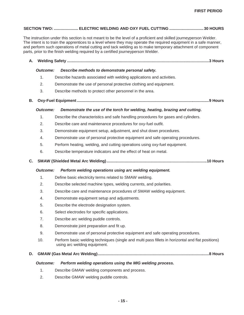## **SECTION TWO: ...................... ELECTRIC WELDING AND OXY FUEL CUTTING ............................... 30 HOURS**

The instruction under this section is not meant to be the level of a proficient and skilled journeyperson Welder. The intent is to train the apprentices to a level where they may operate the required equipment in a safe manner, and perform such operations of metal cutting and tack welding as to make temporary attachment of component parts, prior to the finish welding required by a certified journeyperson Welder.

## **A. Welding Safety ................................................................................................................................. 3 Hours**

#### *Outcome: Describe methods to demonstrate personal safety.*

- 1. Describe hazards associated with welding applications and activities.
- 2. Demonstrate the use of personal protective clothing and equipment.
- 3. Describe methods to protect other personnel in the area.
- **B. Oxy-Fuel Equipment ........................................................................................................................ 9 Hours**

#### *Outcome: Demonstrate the use of the torch for welding, heating, brazing and cutting.*

- 1. Describe the characteristics and safe handling procedures for gases and cylinders.
- 2. Describe care and maintenance procedures for oxy-fuel outfit.
- 3. Demonstrate equipment setup, adjustment, and shut down procedures.
- 4. Demonstrate use of personal protective equipment and safe operating procedures.
- 5. Perform heating, welding, and cutting operations using oxy-fuel equipment.
- 6. Describe temperature indicators and the effect of heat on metal.
- **C. SMAW (Shielded Metal Arc Welding) ........................................................................................... 10 Hours**

#### *Outcome: Perform welding operations using arc welding equipment.*

- 1. Define basic electricity terms related to SMAW welding.
- 2. Describe selected machine types, welding currents, and polarities.
- 3. Describe care and maintenance procedures of SMAW welding equipment.
- 4. Demonstrate equipment setup and adjustments.
- 5. Describe the electrode designation system.
- 6. Select electrodes for specific applications.
- 7. Describe arc welding puddle controls.
- 8. Demonstrate joint preparation and fit up.
- 9. Demonstrate use of personal protective equipment and safe operating procedures.
- 10. Perform basic welding techniques (single and multi pass fillets in horizontal and flat positions) using arc welding equipment.

#### **D. GMAW (Gas Metal Arc Welding) ..................................................................................................... 8 Hours**

#### *Outcome: Perform welding operations using the MIG welding process.*

- 1. Describe GMAW welding components and process.
- 2. Describe GMAW welding puddle controls.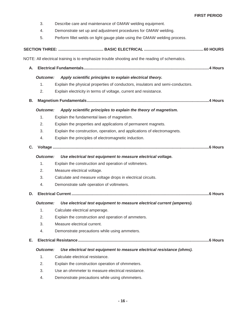- 3. Describe care and maintenance of GMAW welding equipment.
- 4. Demonstrate set up and adjustment procedures for GMAW welding.
- 5. Perform fillet welds on light gauge plate using the GMAW welding process.

|    | NOTE: All electrical training is to emphasize trouble shooting and the reading of schematics. |                                                                                |  |  |  |  |
|----|-----------------------------------------------------------------------------------------------|--------------------------------------------------------------------------------|--|--|--|--|
| Α. |                                                                                               |                                                                                |  |  |  |  |
|    | <b>Outcome:</b>                                                                               | Apply scientific principles to explain electrical theory.                      |  |  |  |  |
|    | 1.                                                                                            | Explain the physical properties of conductors, insulators and semi-conductors. |  |  |  |  |
|    | 2.                                                                                            | Explain electricity in terms of voltage, current and resistance.               |  |  |  |  |
| В. |                                                                                               |                                                                                |  |  |  |  |
|    | <b>Outcome:</b>                                                                               | Apply scientific principles to explain the theory of magnetism.                |  |  |  |  |
|    | 1.                                                                                            | Explain the fundamental laws of magnetism.                                     |  |  |  |  |
|    | 2.                                                                                            | Explain the properties and applications of permanent magnets.                  |  |  |  |  |
|    | 3.                                                                                            | Explain the construction, operation, and applications of electromagnets.       |  |  |  |  |
|    | 4.                                                                                            | Explain the principles of electromagnetic induction.                           |  |  |  |  |
| C. |                                                                                               |                                                                                |  |  |  |  |
|    | <b>Outcome:</b>                                                                               | Use electrical test equipment to measure electrical voltage.                   |  |  |  |  |
|    | 1.                                                                                            | Explain the construction and operation of voltmeters.                          |  |  |  |  |
|    | 2.                                                                                            | Measure electrical voltage.                                                    |  |  |  |  |
|    | 3.                                                                                            | Calculate and measure voltage drops in electrical circuits.                    |  |  |  |  |
|    | 4.                                                                                            | Demonstrate safe operation of voltmeters.                                      |  |  |  |  |
| D. |                                                                                               |                                                                                |  |  |  |  |
|    | <b>Outcome:</b>                                                                               | Use electrical test equipment to measure electrical current (amperes).         |  |  |  |  |
|    | 1.                                                                                            | Calculate electrical amperage.                                                 |  |  |  |  |
|    | 2.                                                                                            | Explain the construction and operation of ammeters.                            |  |  |  |  |
|    | 3.                                                                                            | Measure electrical current.                                                    |  |  |  |  |
|    | 4.                                                                                            | Demonstrate precautions while using ammeters.                                  |  |  |  |  |
| Е. |                                                                                               |                                                                                |  |  |  |  |
|    | <b>Outcome:</b><br>Use electrical test equipment to measure electrical resistance (ohms).     |                                                                                |  |  |  |  |
|    | 1.                                                                                            | Calculate electrical resistance.                                               |  |  |  |  |
|    | 2.                                                                                            | Explain the construction operation of ohmmeters.                               |  |  |  |  |
|    |                                                                                               |                                                                                |  |  |  |  |

- 3. Use an ohmmeter to measure electrical resistance.
- 4. Demonstrate precautions while using ohmmeters.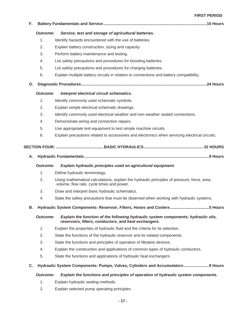#### **FIRST PERIOD**

| F. |                 |                                                                                                                                             |  |
|----|-----------------|---------------------------------------------------------------------------------------------------------------------------------------------|--|
|    | <b>Outcome:</b> | Service, test and storage of agricultural batteries.                                                                                        |  |
|    | 1.              | Identify hazards encountered with the use of batteries.                                                                                     |  |
|    | 2.              | Explain battery construction, sizing and capacity.                                                                                          |  |
|    | 3.              | Perform battery maintenance and testing.                                                                                                    |  |
|    | 4.              | List safety precautions and procedures for boosting batteries.                                                                              |  |
|    | 5.              | List safety precautions and procedures for charging batteries.                                                                              |  |
|    | 6.              | Explain multiple battery circuits in relation to connections and battery compatibility.                                                     |  |
| G. |                 |                                                                                                                                             |  |
|    | Outcome:        | Interpret electrical circuit schematics.                                                                                                    |  |
|    | 1.              | Identify commonly used schematic symbols.                                                                                                   |  |
|    | 2.              | Explain simple electrical schematic drawings.                                                                                               |  |
|    | 3.              | Identify commonly used electrical weather and non-weather sealed connections.                                                               |  |
|    | 4.              | Demonstrate wiring and connection repairs.                                                                                                  |  |
|    | 5.              | Use appropriate test equipment to test simple machine circuits.                                                                             |  |
|    | 6.              | Explain precautions related to accessories and electronics when servicing electrical circuits.                                              |  |
| Α. | <b>Outcome:</b> | Explain hydraulic principles used on agricultural equipment.                                                                                |  |
|    | 1.<br>2.        | Define hydraulic terminology.<br>Using mathematical calculations, explain the hydraulic principles of pressure, force, area,                |  |
|    |                 | volume, flow rate, cycle times and power.                                                                                                   |  |
|    | 3.              | Draw and interpret basic hydraulic schematics.                                                                                              |  |
|    | 4.              | State the safety precautions that must be observed when working with hydraulic systems.                                                     |  |
| В. |                 | Hydraulic System Components: Reservoir, Filters, Hoses and Coolers 5 Hours                                                                  |  |
|    | <b>Outcome:</b> | Explain the function of the following hydraulic system components; hydraulic oils,<br>reservoirs, filters, conductors, and heat exchangers. |  |
|    | 1.              | Explain the properties of hydraulic fluid and the criteria for its selection.                                                               |  |
|    | 2.              | State the functions of the hydraulic reservoir and its related components.                                                                  |  |
|    | 3.              | State the functions and principles of operation of filtration devices.                                                                      |  |
|    | 4.              | Explain the construction and applications of common types of hydraulic conductors.                                                          |  |
|    | 5.              | State the functions and applications of hydraulic heat exchangers.                                                                          |  |
| C. |                 | Hydraulic System Components: Pumps, Valves, Cylinders and Accumulators9 Hours                                                               |  |
|    | <b>Outcome:</b> | Explain the functions and principles of operation of hydraulic system components.                                                           |  |
|    | 1.              | Explain hydraulic sealing methods.                                                                                                          |  |
|    | 2.              | Explain selected pump operating principles.                                                                                                 |  |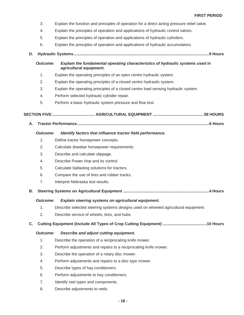- 3. Explain the function and principles of operation for a direct acting pressure relief valve.
- 4. Explain the principles of operation and applications of hydraulic control valves.
- 5. Explain the principles of operation and applications of hydraulic cylinders.
- 6. Explain the principles of operation and applications of hydraulic accumulators.
- **D. Hydraulic Systems ........................................................................................................................... 9 Hours**

## *Outcome: Explain the fundamental operating characteristics of hydraulic systems used in agricultural equipment.*

- 1. Explain the operating principles of an open centre hydraulic system.
- 2. Explain the operating principles of a closed centre hydraulic system.
- 3. Explain the operating principles of a closed centre load sensing hydraulic system.
- 4. Perform selected hydraulic cylinder repair.
- 5. Perform a basic hydraulic system pressure and flow test.

 **SECTION FIVE: ...................................... AGRICULTURAL EQUIPMENT ..............................................58 HOURS** 

**A. Tractor Performance ........................................................................................................................ 6 Hours** 

#### *Outcome: Identify factors that influence tractor field performance.*

- 1. Define tractor horsepower concepts.
- 2. Calculate drawbar horsepower requirements.
- 3. Describe and calculate slippage.
- 4. Describe Power Hop and its control.
- 5. Calculate ballasting solutions for tractors.
- 6. Compare the use of tires and rubber tracks.
- 7. Interpret Nebraska test results.
- **B. Steering Systems on Agricultural Equipment .............................................................................. 4 Hours**

#### *Outcome: Explain steering systems on agricultural equipment.*

- 1. Describe selected steering systems designs used on wheeled agricultural equipment.
- 2. Describe service of wheels, tires, and hubs.

## **C. Cutting Equipment (Include All Types of Crop Cutting Equipment) ........................................ 10 Hours**

#### *Outcome: Describe and adjust cutting equipment.*

- 1. Describe the operation of a reciprocating knife mower.
- 2. Perform adjustments and repairs to a reciprocating knife mower.
- 3. Describe the operation of a rotary disc mower.
- 4. Perform adjustments and repairs to a disc type mower.
- 5. Describe types of hay conditioners.
- 6. Perform adjustments to hay conditioners.
- 7. Identify reel types and components.
- 8. Describe adjustments to reels.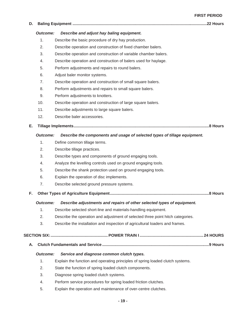#### **FIRST PERIOD**

## **D. Baling Equipment ..........................................................................................................................22 Hours**

#### *Outcome: Describe and adjust hay baling equipment.*

- 1. Describe the basic procedure of dry hay production.
- 2. Describe operation and construction of fixed chamber balers.
- 3. Describe operation and construction of variable chamber balers.
- 4. Describe operation and construction of balers used for haylage.
- 5. Perform adjustments and repairs to round balers.
- 6. Adjust baler monitor systems.
- 7. Describe operation and construction of small square balers.
- 8. Perform adjustments and repairs to small square balers.
- 9. Perform adjustments to knotters.
- 10. Describe operation and construction of large square balers.
- 11. Describe adjustments to large square balers.
- 12. Describe baler accessories.

#### **E. Tillage Implements ........................................................................................................................... 8 Hours**

#### *Outcome: Describe the components and usage of selected types of tillage equipment.*

- 1. Define common tillage terms.
- 2. Describe tillage practices.
- 3. Describe types and components of ground engaging tools.
- 4. Analyze the levelling controls used on ground engaging tools.
- 5. Describe the shank protection used on ground engaging tools.
- 6. Explain the operation of disc implements.
- 7. Describe selected ground pressure systems.

#### **F. Other Types of Agriculture Equipment .......................................................................................... 8 Hours**

#### *Outcome: Describe adjustments and repairs of other selected types of equipment.*

- 1. Describe selected short-line and materials-handling equipment.
- 2. Describe the operation and adjustment of selected three point hitch categories.
- 3. Describe the installation and inspection of agricultural loaders and frames.

#### **SECTION SIX: .................................................... POWER TRAIN I .......................................................... 24 HOURS**

**A. Clutch Fundamentals and Service ................................................................................................. 9 Hours** 

#### *Outcome: Service and diagnose common clutch types.*

- 1. Explain the function and operating principles of spring loaded clutch systems.
- 2. State the function of spring loaded clutch components.
- 3. Diagnose spring loaded clutch systems.
- 4. Perform service procedures for spring loaded friction clutches.
- 5. Explain the operation and maintenance of over-centre clutches.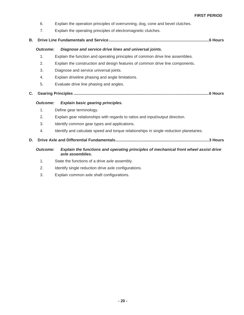- 6. Explain the operation principles of overrunning, dog, cone and bevel clutches.
- 7. Explain the operating principles of electromagnetic clutches.
- **B. Drive Line Fundamentals and Service ........................................................................................... 6 Hours**

## *Outcome: Diagnose and service drive lines and universal joints.*

- 1. Explain the function and operating principles of common drive line assemblies.
- 2. Explain the construction and design features of common drive line components.
- 3. Diagnose and service universal joints.
- 4. Explain driveline phasing and angle limitations.
- 5. Evaluate drive line phasing and angles.
- **C. Gearing Principles ........................................................................................................................... 6 Hours**

#### *Outcome: Explain basic gearing principles.*

- 1. Define gear terminology.
- 2. Explain gear relationships with regards to ratios and input/output direction.
- 3. Identify common gear types and applications.
- 4. Identify and calculate speed and torque relationships in single reduction planetaries.

#### **D. Drive Axle and Differential Fundamentals ..................................................................................... 3 Hours**

#### *Outcome: Explain the functions and operating principles of mechanical front wheel assist drive axle assemblies.*

- 1. State the functions of a drive axle assembly.
- 2. Identify single reduction drive axle configurations.
- 3. Explain common axle shaft configurations.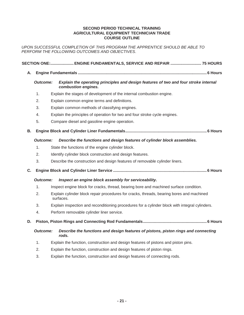#### **SECOND PERIOD TECHNICAL TRAINING AGRICULTURAL EQUIPMENT TECHNICIAN TRADE COURSE OUTLINE**

*UPON SUCCESSFUL COMPLETION OF THIS PROGRAM THE APPRENTICE SHOULD BE ABLE TO PERFORM THE FOLLOWING OUTCOMES AND OBJECTIVES*.

## **SECTION ONE:..................... ENGINE FUNDAMENTALS, SERVICE AND REPAIR ............................ 75 HOURS A. Engine Fundamentals ..................................................................................................................... 6 Hours**   *Outcome: Explain the operating principles and design features of two and four stroke internal combustion engines.*  1. Explain the stages of development of the internal combustion engine. 2. Explain common engine terms and definitions. 3. Explain common methods of classifying engines. 4. Explain the principles of operation for two and four stroke cycle engines. 5. Compare diesel and gasoline engine operation. **B. Engine Block and Cylinder Liner Fundamentals .......................................................................... 6 Hours**   *Outcome: Describe the functions and design features of cylinder block assemblies.*  1. State the functions of the engine cylinder block. 2. Identify cylinder block construction and design features. 3. Describe the construction and design features of removable cylinder liners. **C. Engine Block and Cylinder Liner Service ..................................................................................... 6 Hours**   *Outcome: Inspect an engine block assembly for serviceability.*  1. Inspect engine block for cracks, thread, bearing bore and machined surface condition. 2. Explain cylinder block repair procedures for cracks, threads, bearing bores and machined surfaces. 3. Explain inspection and reconditioning procedures for a cylinder block with integral cylinders. 4. Perform removable cylinder liner service. **D. Piston, Piston Rings and Connecting Rod Fundamentals .......................................................... 6 Hours**   *Outcome: Describe the functions and design features of pistons, piston rings and connecting rods.*  1. Explain the function, construction and design features of pistons and piston pins. 2. Explain the function, construction and design features of piston rings. 3. Explain the function, construction and design features of connecting rods.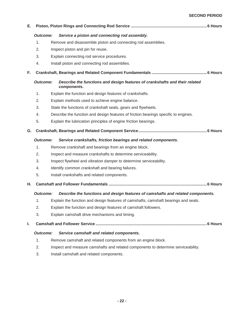## **SECOND PERIOD**

| Е. |                 |                                                                                            |
|----|-----------------|--------------------------------------------------------------------------------------------|
|    | <b>Outcome:</b> | Service a piston and connecting rod assembly.                                              |
|    | $\mathbf{1}$ .  | Remove and disassemble piston and connecting rod assemblies.                               |
|    | 2.              | Inspect piston and pin for reuse.                                                          |
|    | 3.              | Explain connecting rod service procedures.                                                 |
|    | 4.              | Install piston and connecting rod assemblies.                                              |
| F. |                 |                                                                                            |
|    | <b>Outcome:</b> | Describe the functions and design features of crankshafts and their related<br>components. |
|    | 1.              | Explain the function and design features of crankshafts.                                   |
|    | 2.              | Explain methods used to achieve engine balance.                                            |
|    | 3.              | State the functions of crankshaft seals, gears and flywheels.                              |
|    | 4.              | Describe the function and design features of friction bearings specific to engines.        |
|    | 5.              | Explain the lubrication principles of engine friction bearings.                            |
| G. |                 |                                                                                            |
|    | <b>Outcome:</b> | Service crankshafts, friction bearings and related components.                             |
|    | $\mathbf{1}$ .  | Remove crankshaft and bearings from an engine block.                                       |
|    | 2.              | Inspect and measure crankshafts to determine serviceability.                               |
|    | 3.              | Inspect flywheel and vibration damper to determine serviceability.                         |
|    | 4.              | Identify common crankshaft and bearing failures.                                           |
|    | 5.              | Install crankshafts and related components.                                                |
| Н. |                 |                                                                                            |
|    | <b>Outcome:</b> | Describe the functions and design features of camshafts and related components.            |
|    | 1.              | Explain the function and design features of camshafts, camshaft bearings and seals.        |
|    | 2.              | Explain the function and design features of camshaft followers.                            |
|    | 3.              | Explain camshaft drive mechanisms and timing.                                              |
| I. |                 |                                                                                            |
|    | <b>Outcome:</b> | Service camshaft and related components.                                                   |
|    | $\mathbf{1}$ .  | Remove camshaft and related components from an engine block.                               |
|    | 2.              | Inspect and measure camshafts and related components to determine serviceability.          |
|    | 3.              | Install camshaft and related components.                                                   |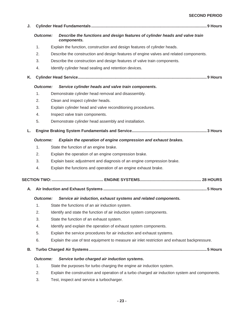## **SECOND PERIOD**

| J. |                 |                                                                                                |  |
|----|-----------------|------------------------------------------------------------------------------------------------|--|
|    | <b>Outcome:</b> | Describe the functions and design features of cylinder heads and valve train<br>components.    |  |
|    | 1.              | Explain the function, construction and design features of cylinder heads.                      |  |
|    | 2.              | Describe the construction and design features of engine valves and related components.         |  |
|    | 3.              | Describe the construction and design features of valve train components.                       |  |
|    | 4.              | Identify cylinder head sealing and retention devices.                                          |  |
| Κ. |                 |                                                                                                |  |
|    | <b>Outcome:</b> | Service cylinder heads and valve train components.                                             |  |
|    | $\mathbf{1}$ .  | Demonstrate cylinder head removal and disassembly.                                             |  |
|    | 2.              | Clean and inspect cylinder heads.                                                              |  |
|    | 3.              | Explain cylinder head and valve reconditioning procedures.                                     |  |
|    | 4.              | Inspect valve train components.                                                                |  |
|    | 5.              | Demonstrate cylinder head assembly and installation.                                           |  |
| L. |                 |                                                                                                |  |
|    | <b>Outcome:</b> | Explain the operation of engine compression and exhaust brakes.                                |  |
|    | $\mathbf 1$ .   | State the function of an engine brake.                                                         |  |
|    | 2.              | Explain the operation of an engine compression brake.                                          |  |
|    | 3.              | Explain basic adjustment and diagnosis of an engine compression brake.                         |  |
|    | 4.              | Explain the functions and operation of an engine exhaust brake.                                |  |
|    |                 |                                                                                                |  |
| Α. |                 |                                                                                                |  |
|    | <b>Outcome:</b> | Service air induction, exhaust systems and related components.                                 |  |
|    | 1.              | State the functions of an air induction system.                                                |  |
|    | 2.              | Identify and state the function of air induction system components.                            |  |
|    | 3.              | State the function of an exhaust system.                                                       |  |
|    | 4.              | Identify and explain the operation of exhaust system components.                               |  |
|    | 5.              | Explain the service procedures for air induction and exhaust systems.                          |  |
|    | 6.              | Explain the use of test equipment to measure air inlet restriction and exhaust backpressure.   |  |
| В. |                 |                                                                                                |  |
|    | <b>Outcome:</b> | Service turbo charged air induction systems.                                                   |  |
|    | 1.              | State the purposes for turbo charging the engine air induction system.                         |  |
|    | 2.              | Explain the construction and operation of a turbo charged air induction system and components. |  |

3. Test, inspect and service a turbocharger.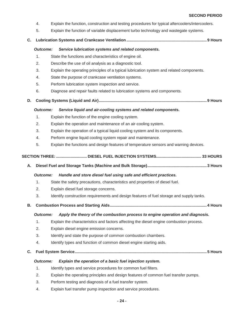- 4. Explain the function, construction and testing procedures for typical aftercoolers/intercoolers.
- 5. Explain the function of variable displacement turbo technology and wastegate systems.
- **C. Lubrication Systems and Crankcase Ventilation ......................................................................... 9 Hours**

#### *Outcome: Service lubrication systems and related components.*

- 1. State the functions and characteristics of engine oil.
- 2. Describe the use of oil analysis as a diagnostic tool.
- 3. Explain the operating principles of a typical lubrication system and related components.
- 4. State the purpose of crankcase ventilation systems.
- 5. Perform lubrication system inspection and service.
- 6. Diagnose and repair faults related to lubrication systems and components.
- **D. Cooling Systems (Liquid and Air) .................................................................................................. 9 Hours**

#### *Outcome: Service liquid and air-cooling systems and related components.*

- 1. Explain the function of the engine cooling system.
- 2. Explain the operation and maintenance of an air-cooling system.
- 3. Explain the operation of a typical liquid cooling system and its components.
- 4. Perform engine liquid cooling system repair and maintenance.
- 5. Explain the functions and design features of temperature sensors and warning devices.

## **SECTION THREE: ............................ DIESEL FUEL INJECTION SYSTEMS ......................................... 33 HOURS**

**A. Diesel Fuel and Storage Tanks (Machine and Bulk Storage) ...................................................... 3 Hours** 

#### *Outcome: Handle and store diesel fuel using safe and efficient practices.*

- 1. State the safety precautions, characteristics and properties of diesel fuel.
- 2. Explain diesel fuel storage concerns.
- 3. Identify construction requirements and design features of fuel storage and supply tanks.
- **B. Combustion Process and Starting Aids ........................................................................................ 4 Hours**

#### *Outcome: Apply the theory of the combustion process to engine operation and diagnosis.*

- 1. Explain the characteristics and factors affecting the diesel engine combustion process.
- 2. Explain diesel engine emission concerns.
- 3. Identify and state the purpose of common combustion chambers.
- 4. Identify types and function of common diesel engine starting aids.
- **C. Fuel System Service ........................................................................................................................ 5 Hours**

#### *Outcome: Explain the operation of a basic fuel injection system.*

- 1. Identify types and service procedures for common fuel filters.
- 2. Explain the operating principles and design features of common fuel transfer pumps.
- 3. Perform testing and diagnosis of a fuel transfer system.
- 4. Explain fuel transfer pump inspection and service procedures.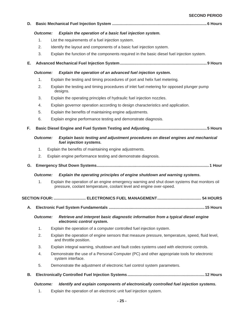#### **SECOND PERIOD**

| D. |                      |                                                                                                                                                                     |                 |
|----|----------------------|---------------------------------------------------------------------------------------------------------------------------------------------------------------------|-----------------|
|    | <b>Outcome:</b>      | Explain the operation of a basic fuel injection system.                                                                                                             |                 |
|    | 1.                   | List the requirements of a fuel injection system.                                                                                                                   |                 |
|    | 2.                   | Identify the layout and components of a basic fuel injection system.                                                                                                |                 |
|    | 3.                   | Explain the function of the components required in the basic diesel fuel injection system.                                                                          |                 |
| Е. |                      |                                                                                                                                                                     |                 |
|    | <b>Outcome:</b>      | Explain the operation of an advanced fuel injection system.                                                                                                         |                 |
|    | 1.                   | Explain the testing and timing procedures of port and helix fuel metering.                                                                                          |                 |
|    | 2.                   | Explain the testing and timing procedures of inlet fuel metering for opposed plunger pump<br>designs.                                                               |                 |
|    | 3.                   | Explain the operating principles of hydraulic fuel injection nozzles.                                                                                               |                 |
|    | 4.                   | Explain governor operation according to design characteristics and application.                                                                                     |                 |
|    | 5.                   | Explain the benefits of maintaining engine adjustments.                                                                                                             |                 |
|    | 6.                   | Explain engine performance testing and demonstrate diagnosis.                                                                                                       |                 |
| F. |                      |                                                                                                                                                                     |                 |
|    | <b>Outcome:</b>      | Explain basic testing and adjustment procedures on diesel engines and mechanical<br>fuel injection systems.                                                         |                 |
|    | 1.                   | Explain the benefits of maintaining engine adjustments.                                                                                                             |                 |
|    | 2.                   | Explain engine performance testing and demonstrate diagnosis.                                                                                                       |                 |
| G. |                      |                                                                                                                                                                     |                 |
|    | <b>Outcome:</b>      | Explain the operating principles of engine shutdown and warning systems.                                                                                            |                 |
|    | 1.                   | Explain the operation of an engine emergency warning and shut down systems that monitors oil<br>pressure, coolant temperature, coolant level and engine over-speed. |                 |
|    | <b>SECTION FOUR:</b> | ELECTRONICS FUEL MANAGEMENT.                                                                                                                                        | <b>54 HOURS</b> |
| А. |                      |                                                                                                                                                                     |                 |
|    | <b>Outcome:</b>      | Retrieve and interpret basic diagnostic information from a typical diesel engine<br>electronic control system.                                                      |                 |
|    | 1.                   | Explain the operation of a computer controlled fuel injection system.                                                                                               |                 |
|    | 2.                   | Explain the operation of engine sensors that measure pressure, temperature, speed, fluid level,<br>and throttle position.                                           |                 |
|    | 3.                   | Explain integral warning, shutdown and fault codes systems used with electronic controls.                                                                           |                 |
|    | 4.                   | Demonstrate the use of a Personal Computer (PC) and other appropriate tools for electronic<br>system interface.                                                     |                 |
|    | 5.                   | Demonstrate the adjustment of electronic fuel control system parameters.                                                                                            |                 |
| В. |                      |                                                                                                                                                                     |                 |
|    | <b>Outcome:</b>      | Identify and explain components of electronically controlled fuel injection systems.                                                                                |                 |
|    | 1.                   | Explain the operation of an electronic unit fuel injection system.                                                                                                  |                 |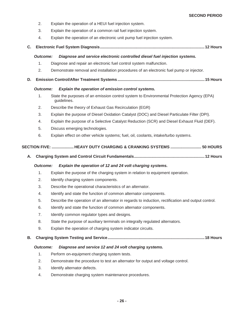- 2. Explain the operation of a HEUI fuel injection system.
- 3. Explain the operation of a common rail fuel injection system.
- 4. Explain the operation of an electronic unit pump fuel injection system.

## **C. Electronic Fuel System Diagnosis ...............................................................................................12 Hours**

#### *Outcome: Diagnose and service electronic controlled diesel fuel injection systems.*

- 1. Diagnose and repair an electronic fuel control system malfunction.
- 2. Demonstrate removal and installation procedures of an electronic fuel pump or injector.
- **D. Emission Control/After Treatment Systems ...............................................................................15 Hours**

#### *Outcome: Explain the operation of emission control systems.*

- 1. State the purposes of an emission control system to Environmental Protection Agency (EPA) guidelines.
- 2. Describe the theory of Exhaust Gas Recirculation (EGR)
- 3. Explain the purpose of Diesel Oxidation Catalyst (DOC) and Diesel Particulate Filter (DPI).
- 4. Explain the purpose of a Selective Catalyst Reduction (SCR) and Diesel Exhaust Fluid (DEF).
- 5. Discuss emerging technologies.
- 6. Explain effect on other vehicle systems; fuel, oil, coolants, intake/turbo systems.

#### **SECTION FIVE: .................... HEAVY DUTY CHARGING & CRANKING SYSTEMS ............................ 50 HOURS**

**A. Charging System and Control Circuit Fundamentals ................................................................ 12 Hours** 

#### *Outcome: Explain the operation of 12 and 24 volt charging systems.*

- 1. Explain the purpose of the charging system in relation to equipment operation.
- 2. Identify charging system components.
- 3. Describe the operational characteristics of an alternator.
- 4. Identify and state the function of common alternator components.
- 5. Describe the operation of an alternator in regards to induction, rectification and output control.
- 6. Identify and state the function of common alternator components.
- 7. Identify common regulator types and designs.
- 8. State the purpose of auxiliary terminals on integrally regulated alternators.
- 9. Explain the operation of charging system indicator circuits.
- **B. Charging System Testing and Service ........................................................................................ 18 Hours**

#### *Outcome: Diagnose and service 12 and 24 volt charging systems.*

- 1. Perform on-equipment charging system tests.
- 2. Demonstrate the procedure to test an alternator for output and voltage control.
- 3. Identify alternator defects.
- 4. Demonstrate charging system maintenance procedures.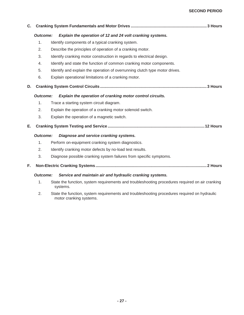## **SECOND PERIOD**

| C.              |                                                                                                             |
|-----------------|-------------------------------------------------------------------------------------------------------------|
| <b>Outcome:</b> | Explain the operation of 12 and 24 volt cranking systems.                                                   |
| 1.              | Identify components of a typical cranking system.                                                           |
| 2.              | Describe the principles of operation of a cranking motor.                                                   |
| 3.              | Identify cranking motor construction in regards to electrical design.                                       |
| 4.              | Identify and state the function of common cranking motor components.                                        |
| 5.              | Identify and explain the operation of overrunning clutch type motor drives.                                 |
| 6.              | Explain operational limitations of a cranking motor.                                                        |
| D.              |                                                                                                             |
| <b>Outcome:</b> | Explain the operation of cranking motor control circuits.                                                   |
| 1.              | Trace a starting system circuit diagram.                                                                    |
| 2.              | Explain the operation of a cranking motor solenoid switch.                                                  |
| 3.              | Explain the operation of a magnetic switch.                                                                 |
| Е.              |                                                                                                             |
| <b>Outcome:</b> | Diagnose and service cranking systems.                                                                      |
| 1.              | Perform on-equipment cranking system diagnostics.                                                           |
| 2.              | Identify cranking motor defects by no-load test results.                                                    |
| 3.              | Diagnose possible cranking system failures from specific symptoms.                                          |
| F.              |                                                                                                             |
| <b>Outcome:</b> | Service and maintain air and hydraulic cranking systems.                                                    |
| 1.              | State the function, system requirements and troubleshooting procedures required on air cranking<br>systems. |

2. State the function, system requirements and troubleshooting procedures required on hydraulic motor cranking systems.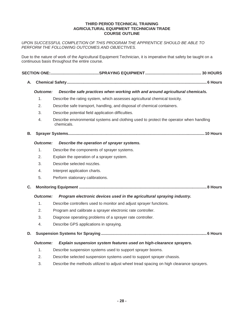#### **THIRD PERIOD TECHNICAL TRAINING AGRICULTURAL EQUIPMENT TECHNICIAN TRADE COURSE OUTLINE**

## *UPON SUCCESSFUL COMPLETION OF THIS PROGRAM THE APPRENTICE SHOULD BE ABLE TO PERFORM THE FOLLOWING OUTCOMES AND OBJECTIVES.*

Due to the nature of work of the Agricultural Equipment Technician, it is imperative that safety be taught on a continuous basis throughout the entire course.

**A. Chemical Safety ............................................................................................................................... 6 Hours** 

## *Outcome: Describe safe practices when working with and around agricultural chemicals.*

- 1. Describe the rating system, which assesses agricultural chemical toxicity.
- 2. Describe safe transport, handling, and disposal of chemical containers.
- 3. Describe potential field application difficulties.
- 4. Describe environmental systems and clothing used to protect the operator when handling chemicals.

#### **B. Sprayer Systems............................................................................................................................10 Hours**

## *Outcome: Describe the operation of sprayer systems.*

- 1. Describe the components of sprayer systems.
- 2. Explain the operation of a sprayer system.
- 3. Describe selected nozzles.
- 4. Interpret application charts.
- 5. Perform stationary calibrations.
- **C. Monitoring Equipment .................................................................................................................... 8 Hours**

## *Outcome: Program electronic devices used in the agricultural spraying industry.*

- 1. Describe controllers used to monitor and adjust sprayer functions.
- 2. Program and calibrate a sprayer electronic rate controller.
- 3. Diagnose operating problems of a sprayer rate controller.
- 4. Describe GPS applications in spraying.

## **D. Suspension Systems for Spraying ................................................................................................ 6 Hours**

## *Outcome: Explain suspension system features used on high-clearance sprayers.*

- 1. Describe suspension systems used to support sprayer booms.
- 2. Describe selected suspension systems used to support sprayer chassis.
- 3. Describe the methods utilized to adjust wheel tread spacing on high clearance sprayers.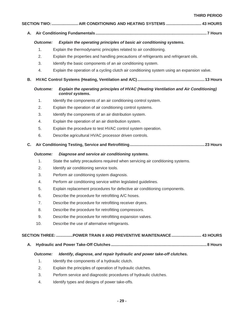**THIRD PERIOD** 

|  | SECTION TWO:  AIR CONDITIONING AND HEATING SYSTEMS  43 HOURS |
|--|--------------------------------------------------------------|
|  |                                                              |

## *Outcome: Explain the operating principles of basic air conditioning systems.*

- 1. Explain the thermodynamic principles related to air conditioning.
- 2. Explain the properties and handling precautions of refrigerants and refrigerant oils.
- 3. Identify the basic components of an air conditioning system.
- 4. Explain the operation of a cycling clutch air conditioning system using an expansion valve.
- **B. HVAC Control Systems (Heating, Ventilation and A/C) .............................................................13 Hours**

## *Outcome: Explain the operating principles of HVAC (Heating Ventilation and Air Conditioning) control systems.*

- 1. Identify the components of an air conditioning control system.
- 2. Explain the operation of air conditioning control systems.
- 3. Identify the components of an air distribution system.
- 4. Explain the operation of an air distribution system.
- 5. Explain the procedure to test HVAC control system operation.
- 6. Describe agricultural HVAC processor driven controls.

## **C. Air Conditioning Testing, Service and Retrofitting ....................................................................23 Hours**

## *Outcome: Diagnose and service air conditioning systems.*

- 1. State the safety precautions required when servicing air conditioning systems.
- 2. Identify air conditioning service tools.
- 3. Perform air conditioning system diagnosis.
- 4. Perform air conditioning service within legislated guidelines.
- 5. Explain replacement procedures for defective air conditioning components.
- 6. Describe the procedure for retrofitting A/C hoses.
- 7. Describe the procedure for retrofitting receiver dryers.
- 8. Describe the procedure for retrofitting compressors.
- 9. Describe the procedure for retrofitting expansion valves.
- 10. Describe the use of alternative refrigerants.

## **SECTION THREE: ............... POWER TRAIN II AND PREVENTIVE MAINTENANCE ........................... 43 HOURS**

**A. Hydraulic and Power Take-Off Clutches ....................................................................................... 8 Hours** 

## *Outcome: Identify, diagnose, and repair hydraulic and power take-off clutches.*

- 1. Identify the components of a hydraulic clutch.
- 2. Explain the principles of operation of hydraulic clutches.
- 3. Perform service and diagnostic procedures of hydraulic clutches.
- 4. Identify types and designs of power take-offs.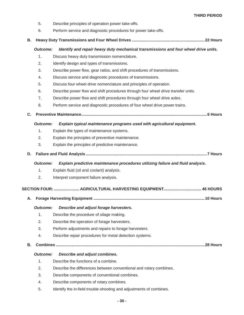- 5. Describe principles of operation power take-offs.
- 6. Perform service and diagnostic procedures for power take-offs.

## **B. Heavy Duty Transmissions and Four Wheel Drives .................................................................. 22 Hours**

## *Outcome: Identify and repair heavy duty mechanical transmissions and four wheel drive units.*

- 1. Discuss heavy duty transmission nomenclature.
- 2. Identify design and types of transmissions.
- 3. Describe power flow, gear ratios, and shift procedures of transmissions.
- 4. Discuss service and diagnostic procedures of transmissions.
- 5. Discuss four wheel drive nomenclature and principles of operation.
- 6. Describe power flow and shift procedures through four wheel drive transfer units.
- 7. Describe power flow and shift procedures through four wheel drive axles.
- 8. Perform service and diagnostic procedures of four wheel drive power trains.

## **C. Preventive Maintenance .................................................................................................................. 6 Hours**

## *Outcome: Explain typical maintenance programs used with agricultural equipment.*

- 1. Explain the types of maintenance systems.
- 2. Explain the principles of preventive maintenance.
- 3. Explain the principles of predictive maintenance.
- **D. Failure and Fluid Analysis .............................................................................................................. 7 Hours**

## *Outcome: Explain predictive maintenance procedures utilizing failure and fluid analysis.*

- 1. Explain fluid (oil and coolant) analysis.
- 2. Interpret component failure analysis.

## **SECTION FOUR: ....................... AGRICULTURAL HARVESTING EQUIPMENT .................................. 46 HOURS**

**A. Forage Harvesting Equipment .....................................................................................................10 Hours** 

## *Outcome: Describe and adjust forage harvesters.*

- 1. Describe the procedure of silage making.
- 2. Describe the operation of forage harvesters.
- 3. Perform adjustments and repairs to forage harvesters.
- 4. Describe repair procedures for metal detection systems.
- **B. Combines .......................................................................................................................................28 Hours**

## *Outcome: Describe and adjust combines.*

- 1. Describe the functions of a combine.
- 2. Describe the differences between conventional and rotary combines.
- 3. Describe components of conventional combines.
- 4. Describe components of rotary combines.
- 5. Identify the in-field trouble-shooting and adjustments of combines.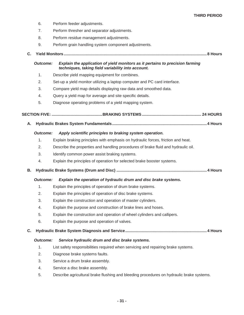- 6. Perform feeder adjustments.
- 7. Perform thresher and separator adjustments.
- 8. Perform residue management adjustments.
- 9. Perform grain handling system component adjustments.

```
C. Yield Monitors .................................................................................................................................. 8 Hours
```
## *Outcome: Explain the application of yield monitors as it pertains to precision farming techniques, taking field variability into account.*

- 1. Describe yield mapping equipment for combines.
- 2. Set-up a yield monitor utilizing a laptop computer and PC card interface.
- 3. Compare yield map details displaying raw data and smoothed data.
- 4. Query a yield map for average and site specific details.
- 5. Diagnose operating problems of a yield mapping system.

## **SECTION FIVE: .............................................. BRAKING SYSTEMS ...................................................... 24 HOURS**

**A. Hydraulic Brakes System Fundamentals ...................................................................................... 4 Hours** 

## *Outcome: Apply scientific principles to braking system operation.*

- 1. Explain braking principles with emphasis on hydraulic forces, friction and heat.
- 2. Describe the properties and handling procedures of brake fluid and hydraulic oil.
- 3. Identify common power assist braking systems.
- 4. Explain the principles of operation for selected brake booster systems.
- **B. Hydraulic Brake Systems (Drum and Disc) .................................................................................. 4 Hours**

## *Outcome: Explain the operation of hydraulic drum and disc brake systems.*

- 1. Explain the principles of operation of drum brake systems.
- 2. Explain the principles of operation of disc brake systems.
- 3. Explain the construction and operation of master cylinders.
- 4. Explain the purpose and construction of brake lines and hoses.
- 5. Explain the construction and operation of wheel cylinders and callipers.
- 6. Explain the purpose and operation of valves.

## **C. Hydraulic Brake System Diagnosis and Service .......................................................................... 4 Hours**

## *Outcome: Service hydraulic drum and disc brake systems.*

- 1. List safety responsibilities required when servicing and repairing brake systems.
- 2. Diagnose brake systems faults.
- 3. Service a drum brake assembly.
- 4. Service a disc brake assembly.
- 5. Describe agricultural brake flushing and bleeding procedures on hydraulic brake systems.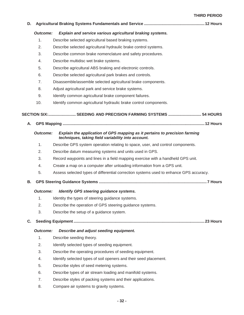#### **THIRD PERIOD**

| D. |                 |                                                                                                                                  |  |
|----|-----------------|----------------------------------------------------------------------------------------------------------------------------------|--|
|    | <b>Outcome:</b> | Explain and service various agricultural braking systems.                                                                        |  |
|    | 1.              | Describe selected agricultural based braking systems.                                                                            |  |
|    | 2.              | Describe selected agricultural hydraulic brake control systems.                                                                  |  |
|    | 3.              | Describe common brake nomenclature and safety procedures.                                                                        |  |
|    | 4.              | Describe multidisc wet brake systems.                                                                                            |  |
|    | 5.              | Describe agricultural ABS braking and electronic controls.                                                                       |  |
|    | 6.              | Describe selected agricultural park brakes and controls.                                                                         |  |
|    | 7.              | Disassemble/assemble selected agricultural brake components.                                                                     |  |
|    | 8.              | Adjust agricultural park and service brake systems.                                                                              |  |
|    | 9.              | Identify common agricultural brake component failures.                                                                           |  |
|    | 10.             | Identify common agricultural hydraulic brake control components.                                                                 |  |
|    |                 | SECTION SIX: SEEDING AND PRECISION FARMING SYSTEMS  54 HOURS                                                                     |  |
| Α. |                 |                                                                                                                                  |  |
|    |                 |                                                                                                                                  |  |
|    | <b>Outcome:</b> | Explain the application of GPS mapping as it pertains to precision farming<br>techniques, taking field variability into account. |  |
|    | 1.              | Describe GPS system operation relating to space, user, and control components.                                                   |  |
|    | 2.              | Describe datum measuring systems and units used in GPS.                                                                          |  |
|    | 3.              | Record waypoints and lines in a field mapping exercise with a handheld GPS unit.                                                 |  |
|    | 4.              | Create a map on a computer after unloading information from a GPS unit.                                                          |  |
|    | 5.              | Assess selected types of differential correction systems used to enhance GPS accuracy.                                           |  |
| В. |                 |                                                                                                                                  |  |
|    | <b>Outcome:</b> | Identify GPS steering guidance systems.                                                                                          |  |
|    | 1.              | Identity the types of steering guidance systems.                                                                                 |  |
|    | 2.              | Describe the operation of GPS steering guidance systems.                                                                         |  |
|    | 3.              | Describe the setup of a guidance system.                                                                                         |  |
| C. |                 |                                                                                                                                  |  |
|    | <b>Outcome:</b> | Describe and adjust seeding equipment.                                                                                           |  |
|    | 1.              | Describe seeding theory.                                                                                                         |  |
|    | 2.              | Identify selected types of seeding equipment.                                                                                    |  |
|    | 3.              | Describe the operating procedures of seeding equipment.                                                                          |  |
|    | 4.              | Identify selected types of soil openers and their seed placement.                                                                |  |
|    | 5.              | Describe styles of seed metering systems.                                                                                        |  |
|    | 6.              | Describe types of air stream loading and manifold systems.                                                                       |  |
|    | 7.              | Describe styles of packing systems and their applications.                                                                       |  |
|    | 8.              | Compare air systems to gravity systems.                                                                                          |  |
|    |                 |                                                                                                                                  |  |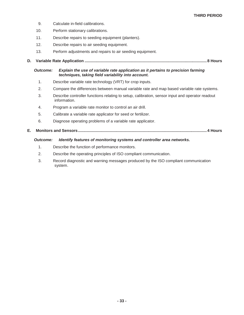- 9. Calculate in-field calibrations.
- 10. Perform stationary calibrations.
- 11. Describe repairs to seeding equipment (planters).
- 12. Describe repairs to air seeding equipment.
- 13. Perform adjustments and repairs to air seeding equipment.
- **D. Variable Rate Application ............................................................................................................... 8 Hours**

## *Outcome: Explain the use of variable rate application as it pertains to precision farming techniques, taking field variability into account.*

- 1. Describe variable rate technology (VRT) for crop inputs.
- 2. Compare the differences between manual variable rate and map based variable rate systems.
- 3. Describe controller functions relating to setup, calibration, sensor input and operator readout information.
- 4. Program a variable rate monitor to control an air drill.
- 5. Calibrate a variable rate applicator for seed or fertilizer.
- 6. Diagnose operating problems of a variable rate applicator.

## **E. Monitors and Sensors ..................................................................................................................... 4 Hours**

## *Outcome: Identify features of monitoring systems and controller area networks.*

- 1. Describe the function of performance monitors.
- 2. Describe the operating principles of ISO compliant communication.
- 3. Record diagnostic and warning messages produced by the ISO compliant communication system.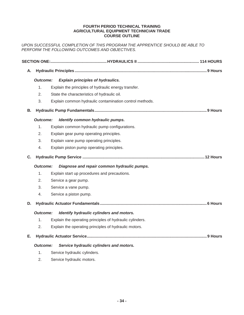#### **FOURTH PERIOD TECHNICAL TRAINING AGRICULTURAL EQUIPMENT TECHNICIAN TRADE COURSE OUTLINE**

*UPON SUCCESSFUL COMPLETION OF THIS PROGRAM THE APPRENTICE SHOULD BE ABLE TO PERFORM THE FOLLOWING OUTCOMES AND OBJECTIVES.* 

| Α.                                                         |                 |                                                          |  |  |  |
|------------------------------------------------------------|-----------------|----------------------------------------------------------|--|--|--|
|                                                            | <b>Outcome:</b> | <b>Explain principles of hydraulics.</b>                 |  |  |  |
|                                                            | 1.              | Explain the principles of hydraulic energy transfer.     |  |  |  |
|                                                            | 2.              | State the characteristics of hydraulic oil.              |  |  |  |
|                                                            | 3.              | Explain common hydraulic contamination control methods.  |  |  |  |
| В.                                                         |                 |                                                          |  |  |  |
|                                                            | <b>Outcome:</b> | Identify common hydraulic pumps.                         |  |  |  |
|                                                            | 1.              | Explain common hydraulic pump configurations.            |  |  |  |
|                                                            | 2.              | Explain gear pump operating principles.                  |  |  |  |
|                                                            | 3.              | Explain vane pump operating principles.                  |  |  |  |
|                                                            | 4.              | Explain piston pump operating principles.                |  |  |  |
| C.                                                         |                 |                                                          |  |  |  |
|                                                            | <b>Outcome:</b> | Diagnose and repair common hydraulic pumps.              |  |  |  |
|                                                            | 1.              | Explain start up procedures and precautions.             |  |  |  |
|                                                            | 2.              | Service a gear pump.                                     |  |  |  |
|                                                            | 3.              | Service a vane pump.                                     |  |  |  |
|                                                            | 4.              | Service a piston pump.                                   |  |  |  |
| D.                                                         |                 |                                                          |  |  |  |
|                                                            | <b>Outcome:</b> | Identify hydraulic cylinders and motors.                 |  |  |  |
|                                                            | 1.              | Explain the operating principles of hydraulic cylinders. |  |  |  |
|                                                            | 2.              | Explain the operating principles of hydraulic motors.    |  |  |  |
| Е.                                                         |                 |                                                          |  |  |  |
| Service hydraulic cylinders and motors.<br><b>Outcome:</b> |                 |                                                          |  |  |  |
|                                                            | 1.              | Service hydraulic cylinders.                             |  |  |  |
|                                                            |                 |                                                          |  |  |  |

2. Service hydraulic motors.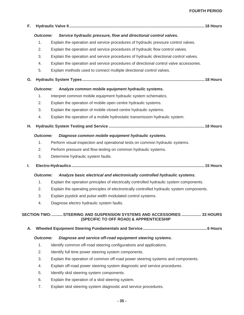## **FOURTH PERIOD**

**F. Hydraulic Valve II ........................................................................................................................... 18 Hours**   *Outcome: Service hydraulic pressure, flow and directional control valves.*  1. Explain the operation and service procedures of hydraulic pressure control valves. 2. Explain the operation and service procedures of hydraulic flow control valves. 3. Explain the operation and service procedures of hydraulic directional control valves. 4. Explain the operation and service procedures of directional control valve accessories. 5. Explain methods used to connect multiple directional control valves. **G. Hydraulic System Types ............................................................................................................... 18 Hours**   *Outcome: Analyze common mobile equipment hydraulic systems.*  1. Interpret common mobile equipment hydraulic system schematics. 2. Explain the operation of mobile open centre hydraulic systems. 3. Explain the operation of mobile closed centre hydraulic systems. 4. Explain the operation of a mobile hydrostatic transmission hydraulic system. **H. Hydraulic System Testing and Service ....................................................................................... 18 Hours**   *Outcome: Diagnose common mobile equipment hydraulic systems.*  1. Perform visual inspection and operational tests on common hydraulic systems. 2. Perform pressure and flow testing on common hydraulic systems. 3. Determine hydraulic system faults. **I. Electro-Hydraulics ......................................................................................................................... 15 Hours**   *Outcome: Analyze basic electrical and electronically controlled hydraulic systems.*  1. Explain the operation principles of electrically controlled hydraulic system components. 2. Explain the operating principles of electronically controlled hydraulic system components. 3. Explain joystick and pulse width modulated control systems. 4. Diagnose electro hydraulic system faults.  **SECTION TWO: .......... STEERING AND SUSPENSION SYSTEMS AND ACCESSORIES .................. 33 HOURS (SPECIFIC TO OFF ROAD) & APPRENTICESHIP A. Wheeled Equipment Steering Fundamentals and Service .......................................................... 6 Hours**   *Outcome: Diagnose and service off-road equipment steering systems.*  1. Identify common off-road steering configurations and applications. 2. Identify full time power steering system components. 3. Explain the operation of common off-road power steering systems and components. 4. Explain off-road power steering system diagnostic and service procedures. 5. Identify skid steering system components. 6. Explain the operation of a skid steering system. 7. Explain skid steering system diagnostic and service procedures.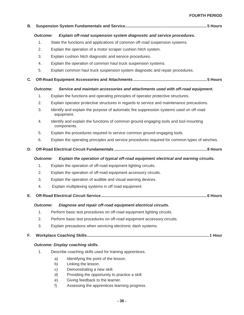#### **FOURTH PERIOD**

| В. |                 |                                                                                                                                                                                |  |  |  |
|----|-----------------|--------------------------------------------------------------------------------------------------------------------------------------------------------------------------------|--|--|--|
|    | <b>Outcome:</b> | Explain off-road suspension system diagnostic and service procedures.                                                                                                          |  |  |  |
|    | 1.              | State the functions and applications of common off-road suspension systems.                                                                                                    |  |  |  |
|    | 2.              | Explain the operation of a motor scraper cushion hitch system.                                                                                                                 |  |  |  |
|    | 3.              | Explain cushion hitch diagnostic and service procedures.                                                                                                                       |  |  |  |
|    | 4.              | Explain the operation of common haul truck suspension systems.                                                                                                                 |  |  |  |
|    | 5.              | Explain common haul truck suspension system diagnostic and repair procedures.                                                                                                  |  |  |  |
| C. |                 |                                                                                                                                                                                |  |  |  |
|    | <b>Outcome:</b> | Service and maintain accessories and attachments used with off-road equipment.                                                                                                 |  |  |  |
|    | 1.              | Explain the functions and operating principles of operator protective structures.                                                                                              |  |  |  |
|    | 2.              | Explain operator protective structures in regards to service and maintenance precautions.                                                                                      |  |  |  |
|    | 3.              | Identify and explain the purpose of automatic fire suppression systems used on off-road<br>equipment.                                                                          |  |  |  |
|    | 4.              | Identify and explain the functions of common ground engaging tools and tool mounting<br>components.                                                                            |  |  |  |
|    | 5.              | Explain the procedures required to service common ground engaging tools.                                                                                                       |  |  |  |
|    | 6.              | Explain the operating principles and service procedures required for common types of winches.                                                                                  |  |  |  |
| D. | <b>Outcome:</b> | Explain the operation of typical off-road equipment electrical and warning circuits.                                                                                           |  |  |  |
|    | 1.              | Explain the operation of off-road equipment lighting circuits.                                                                                                                 |  |  |  |
|    | 2.              | Explain the operation of off-road equipment accessory circuits.                                                                                                                |  |  |  |
|    | 3.              | Explain the operation of audible and visual warning devices.                                                                                                                   |  |  |  |
|    | 4.              | Explain multiplexing systems in off road equipment.                                                                                                                            |  |  |  |
| Е. |                 |                                                                                                                                                                                |  |  |  |
|    | Outcome:        | Diagnose and repair off-road equipment electrical circuits.                                                                                                                    |  |  |  |
|    | 1.              | Perform basic test procedures on off-road equipment lighting circuits.                                                                                                         |  |  |  |
|    | 2.              | Perform basic test procedures on off-road equipment accessory circuits.                                                                                                        |  |  |  |
|    | 3.              | Explain precautions when servicing electronic dash systems.                                                                                                                    |  |  |  |
| F. |                 |                                                                                                                                                                                |  |  |  |
|    |                 | <b>Outcome: Display coaching skills.</b>                                                                                                                                       |  |  |  |
|    | 1.              | Describe coaching skills used for training apprentices.                                                                                                                        |  |  |  |
|    |                 | Identifying the point of the lesson.<br>a)<br>b)<br>Linking the lesson.<br>Demonstrating a new skill.<br>$\mathsf{c})$<br>Providing the opportunity to practice a skill.<br>d) |  |  |  |
|    |                 | Giving feedback to the learner.<br>e)                                                                                                                                          |  |  |  |
|    |                 | Assessing the apprentices learning progress.<br>f)                                                                                                                             |  |  |  |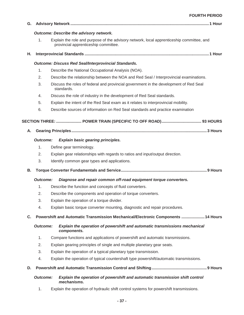| G. |                 |                                                                                                                                   |  |  |  |
|----|-----------------|-----------------------------------------------------------------------------------------------------------------------------------|--|--|--|
|    |                 | Outcome: Describe the advisory network.                                                                                           |  |  |  |
|    | 1.              | Explain the role and purpose of the advisory network, local apprenticeship committee, and<br>provincial apprenticeship committee. |  |  |  |
| Η. |                 |                                                                                                                                   |  |  |  |
|    |                 | <b>Outcome: Discuss Red Seal/Interprovincial Standards.</b>                                                                       |  |  |  |
|    | 1.              | Describe the National Occupational Analysis (NOA).                                                                                |  |  |  |
|    | 2.              | Describe the relationship between the NOA and Red Seal / Interprovincial examinations.                                            |  |  |  |
|    | 3.              | Discuss the roles of federal and provincial government in the development of Red Seal<br>standards.                               |  |  |  |
|    | 4.              | Discuss the role of industry in the development of Red Seal standards.                                                            |  |  |  |
|    | 5.              | Explain the intent of the Red Seal exam as it relates to interprovincial mobility.                                                |  |  |  |
|    | 6.              | Describe sources of information on Red Seal standards and practice examination                                                    |  |  |  |
|    |                 |                                                                                                                                   |  |  |  |
|    |                 |                                                                                                                                   |  |  |  |
| Α. |                 |                                                                                                                                   |  |  |  |
|    | <b>Outcome:</b> | <b>Explain basic gearing principles.</b>                                                                                          |  |  |  |
|    | 1.              | Define gear terminology.                                                                                                          |  |  |  |
|    | 2.              | Explain gear relationships with regards to ratios and input/output direction.                                                     |  |  |  |
|    | 3.              | Identify common gear types and applications.                                                                                      |  |  |  |
| В. |                 |                                                                                                                                   |  |  |  |
|    | <b>Outcome:</b> | Diagnose and repair common off-road equipment torque converters.                                                                  |  |  |  |
|    | 1.              | Describe the function and concepts of fluid converters.                                                                           |  |  |  |
|    | 2.              | Describe the components and operation of torque converters.                                                                       |  |  |  |
|    | 3.              | Explain the operation of a torque divider.                                                                                        |  |  |  |
|    | 4.              | Explain basic torque converter mounting, diagnostic and repair procedures.                                                        |  |  |  |
| C. |                 | Powershift and Automatic Transmission Mechanical/Electronic Components  14 Hours                                                  |  |  |  |
|    | <b>Outcome:</b> | Explain the operation of powershift and automatic transmissions mechanical<br>components.                                         |  |  |  |
|    | 1.              | Compare functions and applications of powershift and automatic transmissions.                                                     |  |  |  |
|    | 2.              | Explain gearing principles of single and multiple planetary gear seats.                                                           |  |  |  |
|    | 3.              | Explain the operation of a typical planetary type transmission.                                                                   |  |  |  |
|    | 4.              | Explain the operation of typical countershaft type powershift/automatic transmissions.                                            |  |  |  |
| D. |                 |                                                                                                                                   |  |  |  |
|    | <b>Outcome:</b> | Explain the operation of powershift and automatic transmission shift control<br>mechanisms.                                       |  |  |  |
|    | 1.              | Explain the operation of hydraulic shift control systems for powershift transmissions.                                            |  |  |  |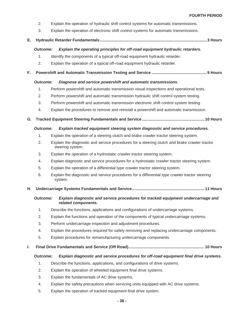- 2. Explain the operation of hydraulic shift control systems for automatic transmissions.
- 3. Explain the operation of electronic shift control systems for automatic transmissions.

## **E. Hydraulic Retarder Fundamentals ................................................................................................. 3 Hours**

## *Outcome: Explain the operating principles for off-road equipment hydraulic retarders.*

- 1. Identify the components of a typical off-road equipment hydraulic retarder.
- 2. Explain the operation of a typical off-road equipment hydraulic retarder.

## **F. Powershift and Automatic Transmission Testing and Service .................................................. 9 Hours**

## *Outcome: Diagnose and service powershift and automatic transmissions.*

- 1. Perform powershift and automatic transmission visual inspections and operational tests.
- 2. Perform powershift and automatic transmission hydraulic shift control system testing.
- 3. Perform powershift and automatic transmission electronic shift control system testing.
- 4. Explain the procedures to remove and reinstall a powershift and automatic transmission.
- **G. Tracked Equipment Steering Fundamentals and Service .........................................................10 Hours**

## *Outcome: Explain tracked equipment steering system diagnostic and service procedures.*

- 1. Explain the operation of a steering clutch and brake crawler tractor steering system.
- 2. Explain the diagnostic and service procedures for a steering clutch and brake crawler tractor steering system.
- 3. Explain the operation of a hydrostatic crawler tractor steering system.
- 4. Explain diagnostic and service procedures for a hydrostatic crawler tractor steering system.
- 5. Explain the operation of a differential type crawler tractor steering system.
- 6. Explain the diagnostic and service procedures for a differential type crawler tractor steering system.

## **H. Undercarriage Systems Fundamentals and Service.................................................................. 11 Hours**

## *Outcome: Explain diagnostic and service procedures for tracked equipment undercarriage and related components.*

- 1. Describe the functions, applications and configurations of undercarriage systems.
- 2. Explain the functions and operation of the components of typical undercarriage systems.
- 3. Perform undercarriage inspection and adjustment procedures.
- 4. Explain the procedures required for safely removing and replacing undercarriage components.
- 5. Explain procedures for remanufacturing undercarriage components.

## **I. Final Drive Fundamentals and Service (Off Road) .....................................................................10 Hours**

## *Outcome: Explain diagnostic and service procedures for off-road equipment final drive systems.*

- 1. Describe the functions, applications, and configurations of drive systems.
- 2. Explain the operation of wheeled equipment final drive systems.
- 3. Explain the fundamentals of AC drive systems.
- 4. Explain the safety precautions when servicing units equipped with AC drive systems.
- 5. Explain the operation of tracked equipment final drive system.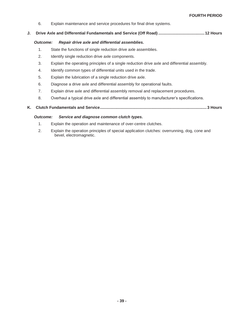6. Explain maintenance and service procedures for final drive systems.

#### **J. Drive Axle and Differential Fundamentals and Service (Off Road) .......................................... 12 Hours**

#### *Outcome: Repair drive axle and differential assemblies.*

- 1. State the functions of single reduction drive axle assemblies.
- 2. Identify single reduction drive axle components.
- 3. Explain the operating principles of a single reduction drive axle and differential assembly.
- 4. Identify common types of differential units used in the trade.
- 5. Explain the lubrication of a single reduction drive axle.
- 6. Diagnose a drive axle and differential assembly for operational faults.
- 7. Explain drive axle and differential assembly removal and replacement procedures.
- 8. Overhaul a typical drive axle and differential assembly to manufacturer's specifications.
- **K. Clutch Fundamentals and Service ................................................................................................. 3 Hours**

#### *Outcome: Service and diagnose common clutch types.*

- 1. Explain the operation and maintenance of over-centre clutches.
- 2. Explain the operation principles of special application clutches: overrunning, dog, cone and bevel, electromagnetic.